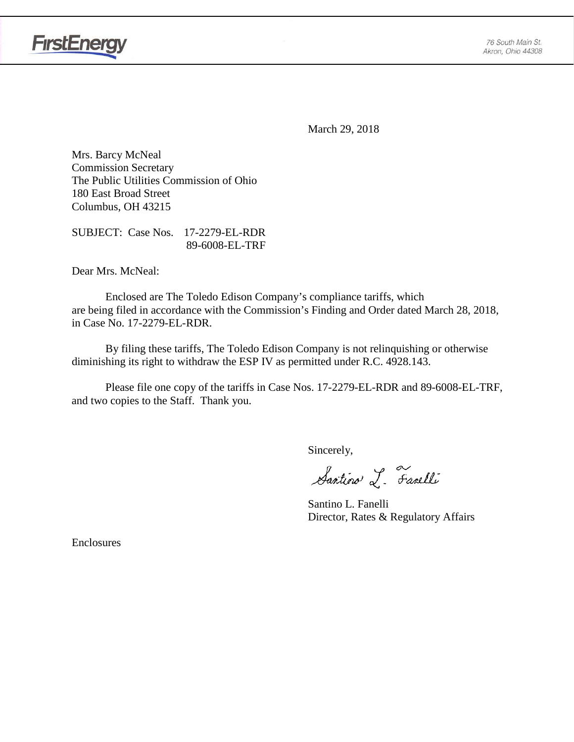



March 29, 2018

Mrs. Barcy McNeal Commission Secretary The Public Utilities Commission of Ohio 180 East Broad Street Columbus, OH 43215

SUBJECT: Case Nos. 17-2279-EL-RDR 89-6008-EL-TRF

Dear Mrs. McNeal:

Enclosed are The Toledo Edison Company's compliance tariffs, which are being filed in accordance with the Commission's Finding and Order dated March 28, 2018, in Case No. 17-2279-EL-RDR.

By filing these tariffs, The Toledo Edison Company is not relinquishing or otherwise diminishing its right to withdraw the ESP IV as permitted under R.C. 4928.143.

Please file one copy of the tariffs in Case Nos. 17-2279-EL-RDR and 89-6008-EL-TRF, and two copies to the Staff. Thank you.

Sincerely,

Santino L. Farelli

Santino L. Fanelli Director, Rates & Regulatory Affairs

Enclosures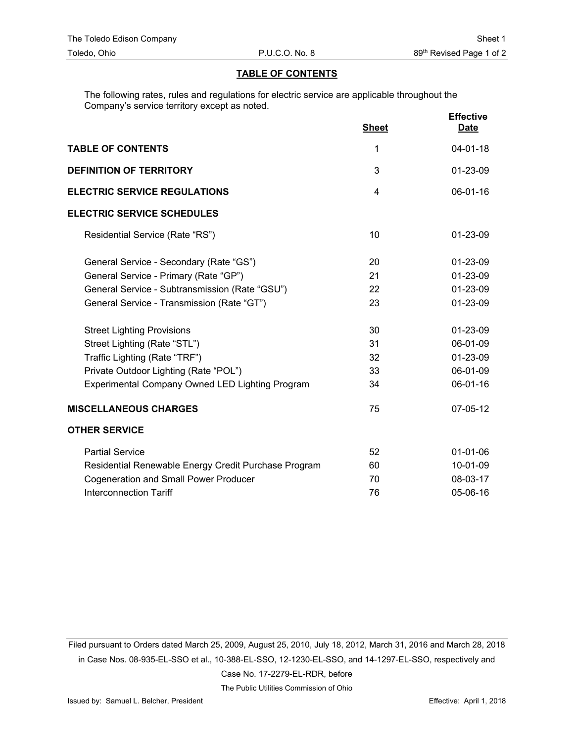## **TABLE OF CONTENTS**

The following rates, rules and regulations for electric service are applicable throughout the Company's service territory except as noted.

|                                                        | <b>Sheet</b> | <b>Effective</b><br><b>Date</b> |
|--------------------------------------------------------|--------------|---------------------------------|
| <b>TABLE OF CONTENTS</b>                               | 1            | $04 - 01 - 18$                  |
| <b>DEFINITION OF TERRITORY</b>                         | 3            | 01-23-09                        |
| <b>ELECTRIC SERVICE REGULATIONS</b>                    | 4            | 06-01-16                        |
| <b>ELECTRIC SERVICE SCHEDULES</b>                      |              |                                 |
| Residential Service (Rate "RS")                        | 10           | 01-23-09                        |
| General Service - Secondary (Rate "GS")                | 20           | 01-23-09                        |
| General Service - Primary (Rate "GP")                  | 21           | 01-23-09                        |
| General Service - Subtransmission (Rate "GSU")         | 22           | 01-23-09                        |
| General Service - Transmission (Rate "GT")             | 23           | 01-23-09                        |
| <b>Street Lighting Provisions</b>                      | 30           | 01-23-09                        |
| Street Lighting (Rate "STL")                           | 31           | 06-01-09                        |
| Traffic Lighting (Rate "TRF")                          | 32           | 01-23-09                        |
| Private Outdoor Lighting (Rate "POL")                  | 33           | 06-01-09                        |
| <b>Experimental Company Owned LED Lighting Program</b> | 34           | 06-01-16                        |
| <b>MISCELLANEOUS CHARGES</b>                           | 75           | 07-05-12                        |
| <b>OTHER SERVICE</b>                                   |              |                                 |
| <b>Partial Service</b>                                 | 52           | $01 - 01 - 06$                  |
| Residential Renewable Energy Credit Purchase Program   | 60           | 10-01-09                        |
| <b>Cogeneration and Small Power Producer</b>           | 70           | 08-03-17                        |
| <b>Interconnection Tariff</b>                          | 76           | 05-06-16                        |

Filed pursuant to Orders dated March 25, 2009, August 25, 2010, July 18, 2012, March 31, 2016 and March 28, 2018 in Case Nos. 08-935-EL-SSO et al., 10-388-EL-SSO, 12-1230-EL-SSO, and 14-1297-EL-SSO, respectively and

Case No. 17-2279-EL-RDR, before

The Public Utilities Commission of Ohio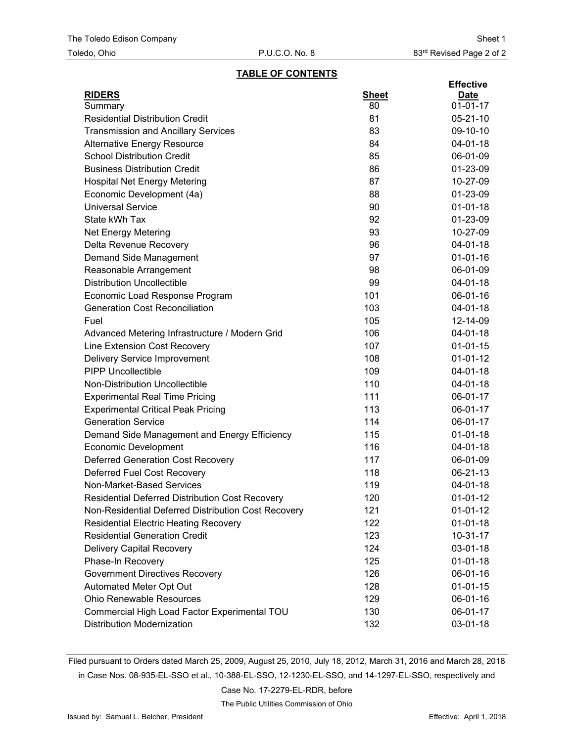## **TABLE OF CONTENTS**

|                                                     |              | <b>Effective</b> |
|-----------------------------------------------------|--------------|------------------|
| <b>RIDERS</b>                                       | <b>Sheet</b> | <b>Date</b>      |
| Summary                                             | 80           | $01 - 01 - 17$   |
| <b>Residential Distribution Credit</b>              | 81           | $05 - 21 - 10$   |
| <b>Transmission and Ancillary Services</b>          | 83           | 09-10-10         |
| <b>Alternative Energy Resource</b>                  | 84           | 04-01-18         |
| <b>School Distribution Credit</b>                   | 85           | 06-01-09         |
| <b>Business Distribution Credit</b>                 | 86           | 01-23-09         |
| <b>Hospital Net Energy Metering</b>                 | 87           | 10-27-09         |
| Economic Development (4a)                           | 88           | 01-23-09         |
| <b>Universal Service</b>                            | 90           | $01 - 01 - 18$   |
| State kWh Tax                                       | 92           | 01-23-09         |
| <b>Net Energy Metering</b>                          | 93           | 10-27-09         |
| Delta Revenue Recovery                              | 96           | 04-01-18         |
| Demand Side Management                              | 97           | $01 - 01 - 16$   |
| Reasonable Arrangement                              | 98           | 06-01-09         |
| <b>Distribution Uncollectible</b>                   | 99           | 04-01-18         |
| Economic Load Response Program                      | 101          | 06-01-16         |
| <b>Generation Cost Reconciliation</b>               | 103          | 04-01-18         |
| Fuel                                                | 105          | 12-14-09         |
| Advanced Metering Infrastructure / Modern Grid      | 106          | $04 - 01 - 18$   |
| Line Extension Cost Recovery                        | 107          | $01 - 01 - 15$   |
| Delivery Service Improvement                        | 108          | $01 - 01 - 12$   |
| <b>PIPP Uncollectible</b>                           | 109          | 04-01-18         |
| <b>Non-Distribution Uncollectible</b>               | 110          | 04-01-18         |
| <b>Experimental Real Time Pricing</b>               | 111          | 06-01-17         |
| <b>Experimental Critical Peak Pricing</b>           | 113          | 06-01-17         |
| <b>Generation Service</b>                           | 114          | 06-01-17         |
| Demand Side Management and Energy Efficiency        | 115          | $01 - 01 - 18$   |
| <b>Economic Development</b>                         | 116          | 04-01-18         |
| <b>Deferred Generation Cost Recovery</b>            | 117          | 06-01-09         |
| <b>Deferred Fuel Cost Recovery</b>                  | 118          | 06-21-13         |
| Non-Market-Based Services                           | 119          | 04-01-18         |
| Residential Deferred Distribution Cost Recovery     | 120          | $01-01-12$       |
| Non-Residential Deferred Distribution Cost Recovery | 121          | $01-01-12$       |
| <b>Residential Electric Heating Recovery</b>        | 122          | $01 - 01 - 18$   |
| <b>Residential Generation Credit</b>                | 123          | $10 - 31 - 17$   |
| <b>Delivery Capital Recovery</b>                    | 124          | 03-01-18         |
| Phase-In Recovery                                   | 125          | $01 - 01 - 18$   |
| <b>Government Directives Recovery</b>               | 126          | 06-01-16         |
| Automated Meter Opt Out                             | 128          | $01 - 01 - 15$   |
| <b>Ohio Renewable Resources</b>                     | 129          | 06-01-16         |
| Commercial High Load Factor Experimental TOU        | 130          | 06-01-17         |
| <b>Distribution Modernization</b>                   | 132          | 03-01-18         |
|                                                     |              |                  |

Filed pursuant to Orders dated March 25, 2009, August 25, 2010, July 18, 2012, March 31, 2016 and March 28, 2018 in Case Nos. 08-935-EL-SSO et al., 10-388-EL-SSO, 12-1230-EL-SSO, and 14-1297-EL-SSO, respectively and

Case No. 17-2279-EL-RDR, before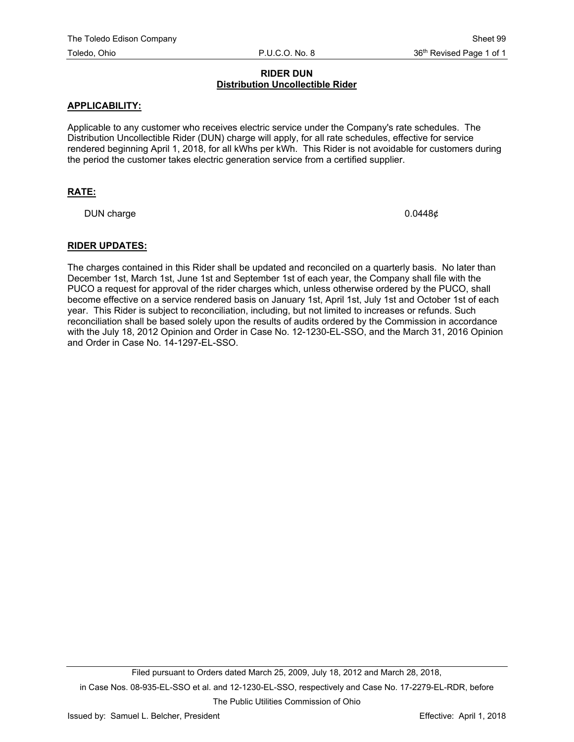# **RIDER DUN Distribution Uncollectible Rider**

## **APPLICABILITY:**

Applicable to any customer who receives electric service under the Company's rate schedules. The Distribution Uncollectible Rider (DUN) charge will apply, for all rate schedules, effective for service rendered beginning April 1, 2018, for all kWhs per kWh. This Rider is not avoidable for customers during the period the customer takes electric generation service from a certified supplier.

# **RATE:**

DUN charge 0.0448¢

#### **RIDER UPDATES:**

The charges contained in this Rider shall be updated and reconciled on a quarterly basis. No later than December 1st, March 1st, June 1st and September 1st of each year, the Company shall file with the PUCO a request for approval of the rider charges which, unless otherwise ordered by the PUCO, shall become effective on a service rendered basis on January 1st, April 1st, July 1st and October 1st of each year. This Rider is subject to reconciliation, including, but not limited to increases or refunds. Such reconciliation shall be based solely upon the results of audits ordered by the Commission in accordance with the July 18, 2012 Opinion and Order in Case No. 12-1230-EL-SSO, and the March 31, 2016 Opinion and Order in Case No. 14-1297-EL-SSO.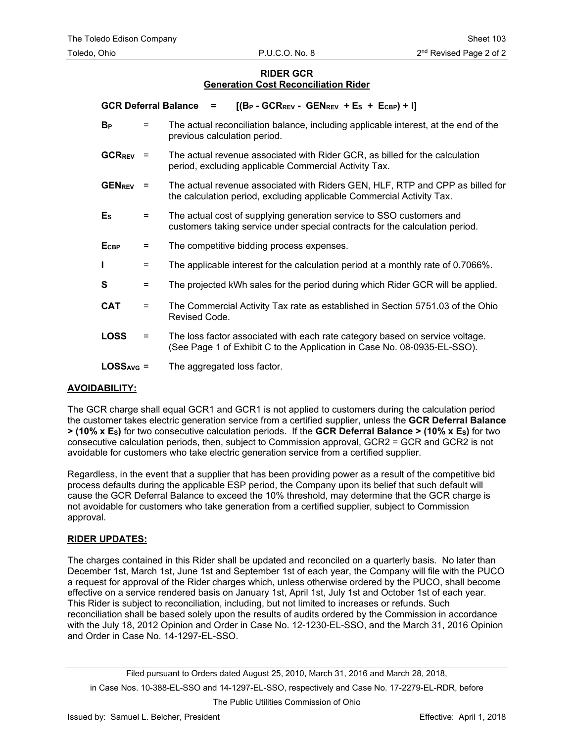# **RIDER GCR Generation Cost Reconciliation Rider**

| <b>GCR Deferral Balance</b> |          | $[(B_P - GCR_{REV} - GEN_{REV} + E_S + E_{CBP}) + I]$<br>$=$                                                                                             |
|-----------------------------|----------|----------------------------------------------------------------------------------------------------------------------------------------------------------|
| <b>B</b> <sub>P</sub>       | $=$      | The actual reconciliation balance, including applicable interest, at the end of the<br>previous calculation period.                                      |
| $GCR_{REV}$ =               |          | The actual revenue associated with Rider GCR, as billed for the calculation<br>period, excluding applicable Commercial Activity Tax.                     |
| <b>GENREV</b>               | $=$      | The actual revenue associated with Riders GEN, HLF, RTP and CPP as billed for<br>the calculation period, excluding applicable Commercial Activity Tax.   |
| $E_{\rm S}$                 | $=$      | The actual cost of supplying generation service to SSO customers and<br>customers taking service under special contracts for the calculation period.     |
| <b>E</b> <sub>CBP</sub>     | $=$      | The competitive bidding process expenses.                                                                                                                |
| L                           | $=$      | The applicable interest for the calculation period at a monthly rate of 0.7066%.                                                                         |
| S                           | Ξ        | The projected kWh sales for the period during which Rider GCR will be applied.                                                                           |
| <b>CAT</b>                  | Ξ        | The Commercial Activity Tax rate as established in Section 5751.03 of the Ohio<br>Revised Code.                                                          |
| <b>LOSS</b>                 | $\equiv$ | The loss factor associated with each rate category based on service voltage.<br>(See Page 1 of Exhibit C to the Application in Case No. 08-0935-EL-SSO). |
| $LOSSAVG =$                 |          | The aggregated loss factor.                                                                                                                              |

# **AVOIDABILITY:**

The GCR charge shall equal GCR1 and GCR1 is not applied to customers during the calculation period the customer takes electric generation service from a certified supplier, unless the **GCR Deferral Balance > (10% x ES)** for two consecutive calculation periods. If the **GCR Deferral Balance > (10% x ES)** for two consecutive calculation periods, then, subject to Commission approval, GCR2 = GCR and GCR2 is not avoidable for customers who take electric generation service from a certified supplier.

Regardless, in the event that a supplier that has been providing power as a result of the competitive bid process defaults during the applicable ESP period, the Company upon its belief that such default will cause the GCR Deferral Balance to exceed the 10% threshold, may determine that the GCR charge is not avoidable for customers who take generation from a certified supplier, subject to Commission approval.

#### **RIDER UPDATES:**

The charges contained in this Rider shall be updated and reconciled on a quarterly basis. No later than December 1st, March 1st, June 1st and September 1st of each year, the Company will file with the PUCO a request for approval of the Rider charges which, unless otherwise ordered by the PUCO, shall become effective on a service rendered basis on January 1st, April 1st, July 1st and October 1st of each year. This Rider is subject to reconciliation, including, but not limited to increases or refunds. Such reconciliation shall be based solely upon the results of audits ordered by the Commission in accordance with the July 18, 2012 Opinion and Order in Case No. 12-1230-EL-SSO, and the March 31, 2016 Opinion and Order in Case No. 14-1297-EL-SSO.

in Case Nos. 10-388-EL-SSO and 14-1297-EL-SSO, respectively and Case No. 17-2279-EL-RDR, before

The Public Utilities Commission of Ohio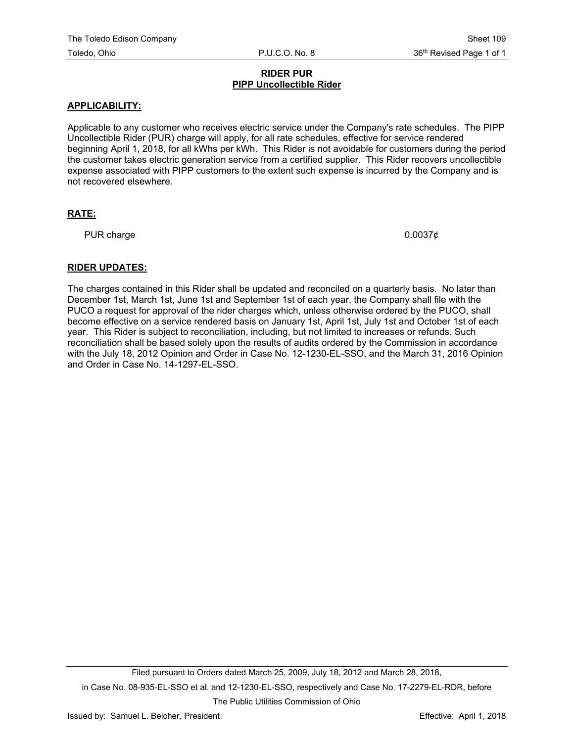## **RIDER PUR PIPP Uncollectible Rider**

# **APPLICABILITY:**

Applicable to any customer who receives electric service under the Company's rate schedules. The PIPP Uncollectible Rider (PUR) charge will apply, for all rate schedules, effective for service rendered beginning April 1, 2018, for all kWhs per kWh. This Rider is not avoidable for customers during the period the customer takes electric generation service from a certified supplier. This Rider recovers uncollectible expense associated with PIPP customers to the extent such expense is incurred by the Company and is not recovered elsewhere.

# **RATE:**

PUR charge  $0.0037$ ¢

# **RIDER UPDATES:**

The charges contained in this Rider shall be updated and reconciled on a quarterly basis. No later than December 1st, March 1st, June 1st and September 1st of each year, the Company shall file with the PUCO a request for approval of the rider charges which, unless otherwise ordered by the PUCO, shall become effective on a service rendered basis on January 1st, April 1st, July 1st and October 1st of each year. This Rider is subject to reconciliation, including, but not limited to increases or refunds. Such reconciliation shall be based solely upon the results of audits ordered by the Commission in accordance with the July 18, 2012 Opinion and Order in Case No. 12-1230-EL-SSO, and the March 31, 2016 Opinion and Order in Case No. 14-1297-EL-SSO.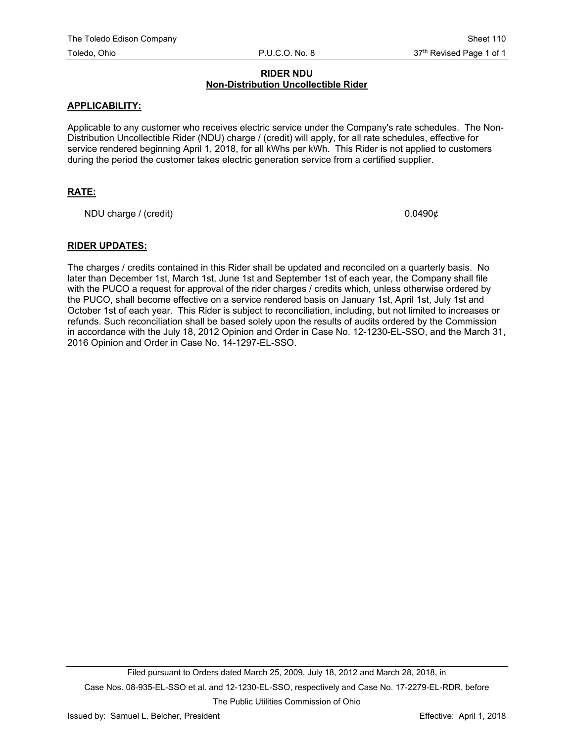## **RIDER NDU Non-Distribution Uncollectible Rider**

## **APPLICABILITY:**

Applicable to any customer who receives electric service under the Company's rate schedules. The Non-Distribution Uncollectible Rider (NDU) charge / (credit) will apply, for all rate schedules, effective for service rendered beginning April 1, 2018, for all kWhs per kWh. This Rider is not applied to customers during the period the customer takes electric generation service from a certified supplier.

# **RATE:**

NDU charge / (credit)  $0.0490\phi$ 

## **RIDER UPDATES:**

The charges / credits contained in this Rider shall be updated and reconciled on a quarterly basis. No later than December 1st, March 1st, June 1st and September 1st of each year, the Company shall file with the PUCO a request for approval of the rider charges / credits which, unless otherwise ordered by the PUCO, shall become effective on a service rendered basis on January 1st, April 1st, July 1st and October 1st of each year. This Rider is subject to reconciliation, including, but not limited to increases or refunds. Such reconciliation shall be based solely upon the results of audits ordered by the Commission in accordance with the July 18, 2012 Opinion and Order in Case No. 12-1230-EL-SSO, and the March 31, 2016 Opinion and Order in Case No. 14-1297-EL-SSO.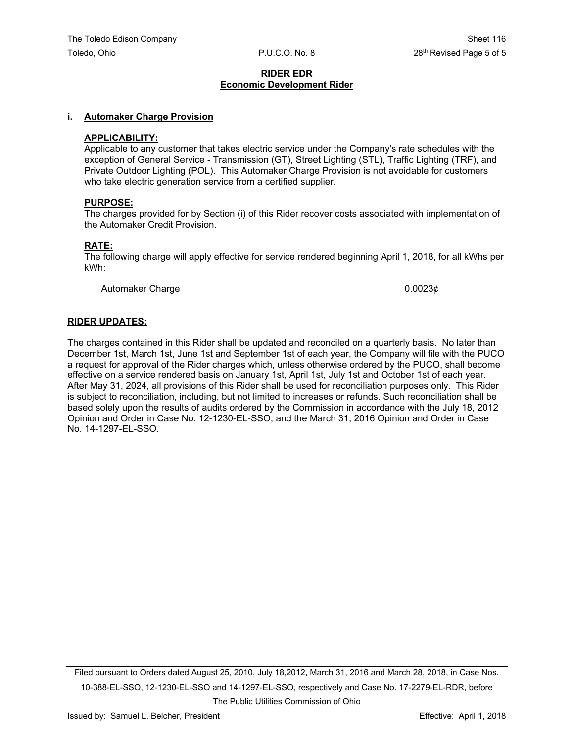## **RIDER EDR Economic Development Rider**

#### **i. Automaker Charge Provision**

#### **APPLICABILITY:**

Applicable to any customer that takes electric service under the Company's rate schedules with the exception of General Service - Transmission (GT), Street Lighting (STL), Traffic Lighting (TRF), and Private Outdoor Lighting (POL). This Automaker Charge Provision is not avoidable for customers who take electric generation service from a certified supplier.

#### **PURPOSE:**

The charges provided for by Section (i) of this Rider recover costs associated with implementation of the Automaker Credit Provision.

#### **RATE:**

The following charge will apply effective for service rendered beginning April 1, 2018, for all kWhs per kWh:

Automaker Charge  $0.0023\phi$ 

#### **RIDER UPDATES:**

The charges contained in this Rider shall be updated and reconciled on a quarterly basis. No later than December 1st, March 1st, June 1st and September 1st of each year, the Company will file with the PUCO a request for approval of the Rider charges which, unless otherwise ordered by the PUCO, shall become effective on a service rendered basis on January 1st, April 1st, July 1st and October 1st of each year. After May 31, 2024, all provisions of this Rider shall be used for reconciliation purposes only. This Rider is subject to reconciliation, including, but not limited to increases or refunds. Such reconciliation shall be based solely upon the results of audits ordered by the Commission in accordance with the July 18, 2012 Opinion and Order in Case No. 12-1230-EL-SSO, and the March 31, 2016 Opinion and Order in Case No. 14-1297-EL-SSO.

Filed pursuant to Orders dated August 25, 2010, July 18,2012, March 31, 2016 and March 28, 2018, in Case Nos. 10-388-EL-SSO, 12-1230-EL-SSO and 14-1297-EL-SSO, respectively and Case No. 17-2279-EL-RDR, before

The Public Utilities Commission of Ohio